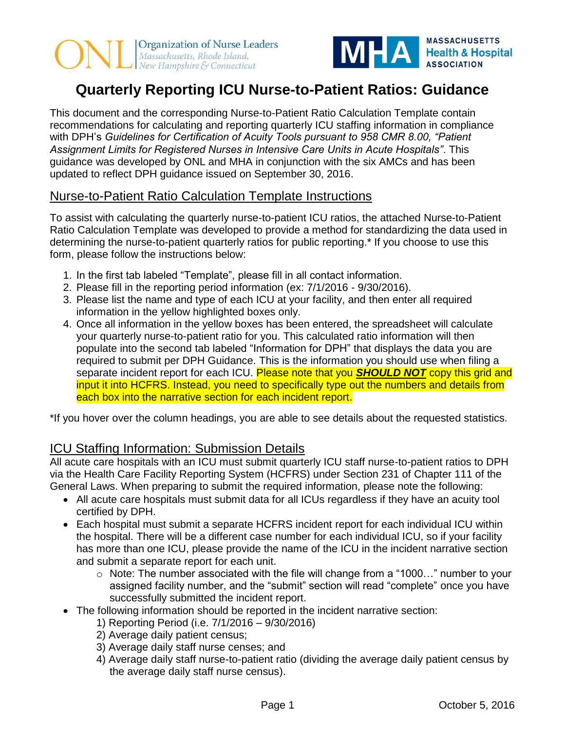



# **Quarterly Reporting ICU Nurse-to-Patient Ratios: Guidance**

This document and the corresponding Nurse-to-Patient Ratio Calculation Template contain recommendations for calculating and reporting quarterly ICU staffing information in compliance with DPH's *Guidelines for Certification of Acuity Tools pursuant to 958 CMR 8.00, "Patient Assignment Limits for Registered Nurses in Intensive Care Units in Acute Hospitals"*. This guidance was developed by ONL and MHA in conjunction with the six AMCs and has been updated to reflect DPH guidance issued on September 30, 2016.

## Nurse-to-Patient Ratio Calculation Template Instructions

To assist with calculating the quarterly nurse-to-patient ICU ratios, the attached Nurse-to-Patient Ratio Calculation Template was developed to provide a method for standardizing the data used in determining the nurse-to-patient quarterly ratios for public reporting.\* If you choose to use this form, please follow the instructions below:

- 1. In the first tab labeled "Template", please fill in all contact information.
- 2. Please fill in the reporting period information (ex: 7/1/2016 9/30/2016).
- 3. Please list the name and type of each ICU at your facility, and then enter all required information in the yellow highlighted boxes only.
- 4. Once all information in the yellow boxes has been entered, the spreadsheet will calculate your quarterly nurse-to-patient ratio for you. This calculated ratio information will then populate into the second tab labeled "Information for DPH" that displays the data you are required to submit per DPH Guidance. This is the information you should use when filing a separate incident report for each ICU. Please note that you *SHOULD NOT* copy this grid and input it into HCFRS. Instead, you need to specifically type out the numbers and details from each box into the narrative section for each incident report.

\*If you hover over the column headings, you are able to see details about the requested statistics.

## ICU Staffing Information: Submission Details

All acute care hospitals with an ICU must submit quarterly ICU staff nurse-to-patient ratios to DPH via the Health Care Facility Reporting System (HCFRS) under Section 231 of Chapter 111 of the General Laws. When preparing to submit the required information, please note the following:

- All acute care hospitals must submit data for all ICUs regardless if they have an acuity tool certified by DPH.
- Each hospital must submit a separate HCFRS incident report for each individual ICU within the hospital. There will be a different case number for each individual ICU, so if your facility has more than one ICU, please provide the name of the ICU in the incident narrative section and submit a separate report for each unit.
	- o Note: The number associated with the file will change from a "1000…" number to your assigned facility number, and the "submit" section will read "complete" once you have successfully submitted the incident report.
- The following information should be reported in the incident narrative section:
	- 1) Reporting Period (i.e. 7/1/2016 9/30/2016)
	- 2) Average daily patient census;
	- 3) Average daily staff nurse censes; and
	- 4) Average daily staff nurse-to-patient ratio (dividing the average daily patient census by the average daily staff nurse census).